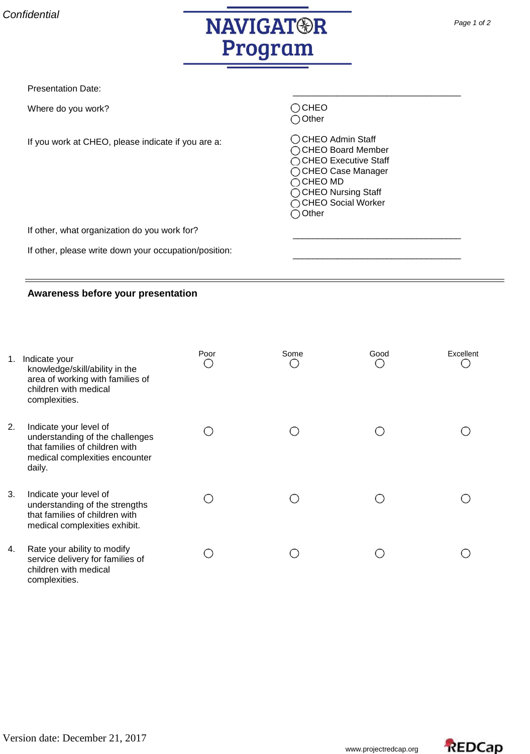

Presentation Date:

Where do you work?

If you work at CHEO, please indicate if you are a:

O CHEO ○ Other

O CHEO Admin Staff  $\bigcirc$  CHEO Board Member  $\bigcirc$  CHEO Executive Staff ◯ CHEO Case Manager  $\bigcirc$  CHEO MD ◯ CHEO Nursing Staff ◯ CHEO Social Worker ◯ Other

\_\_\_\_\_\_\_\_\_\_\_\_\_\_\_\_\_\_\_\_\_\_\_\_\_\_\_\_\_\_\_\_\_\_

\_\_\_\_\_\_\_\_\_\_\_\_\_\_\_\_\_\_\_\_\_\_\_\_\_\_\_\_\_\_\_\_\_\_

\_\_\_\_\_\_\_\_\_\_\_\_\_\_\_\_\_\_\_\_\_\_\_\_\_\_\_\_\_\_\_\_\_\_

If other, what organization do you work for?

If other, please write down your occupation/position:

## **Awareness before your presentation**

|    | 1. Indicate your<br>knowledge/skill/ability in the<br>area of working with families of<br>children with medical<br>complexities.        | Poor | Some | Good | Excellent |
|----|-----------------------------------------------------------------------------------------------------------------------------------------|------|------|------|-----------|
| 2. | Indicate your level of<br>understanding of the challenges<br>that families of children with<br>medical complexities encounter<br>daily. |      |      |      |           |
| 3. | Indicate your level of<br>understanding of the strengths<br>that families of children with<br>medical complexities exhibit.             |      |      |      |           |
| 4. | Rate your ability to modify<br>service delivery for families of<br>children with medical<br>complexities.                               |      |      |      |           |